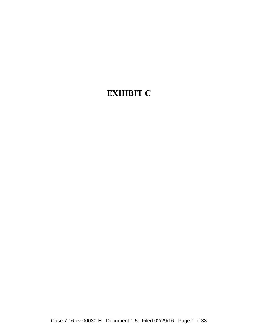#### **EXHIBIT C**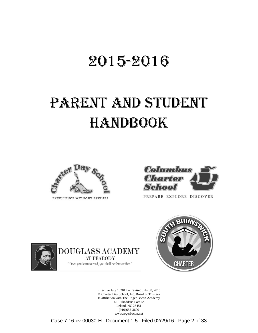### 2015-2016

## PARENT AND STUDENT **HANDBOOK**



EXCELLENCE WITHOUT EXCUSES



PREPARE EXPLORE DISCOVER



**DOUGLASS ACADEMY AT PEABODY** "Once you learn to read, you shall be forever free."



Effective July 1, 2015 – Revised July 30, 2015 © Charter Day School, Inc. Board of Trustees In affiliation with The Roger Bacon Academy 3610 Thaddeus Lott Ln. Leland, NC 28451 (910)655-3600 www.rogerbacon.net

Case 7:16-cv-00030-H Document 1-5 Filed 02/29/16 Page 2 of 33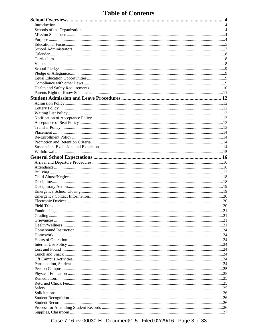#### **Table of Contents**

Case 7:16-cv-00030-H Document 1-5 Filed 02/29/16 Page 3 of 33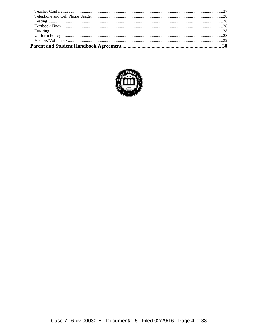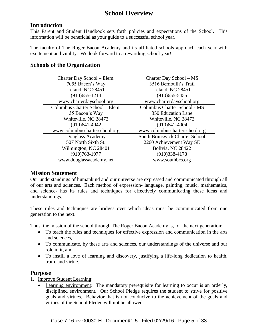#### **School Overview**

#### **Introduction**

This Parent and Student Handbook sets forth policies and expectations of the School. This information will be beneficial as your guide to a successful school year.

The faculty of The Roger Bacon Academy and its affiliated schools approach each year with excitement and vitality. We look forward to a rewarding school year!

#### **Schools of the Organization**

| Charter Day School – Elem.      | Charter Day School – MS               |
|---------------------------------|---------------------------------------|
| 7055 Bacon's Way                | 3516 Bernoulli's Trail                |
| Leland, NC 28451                | Leland, NC 28451                      |
| $(910)$ 655-1214                | $(910)$ 655-5455                      |
| www.charterdayschool.org        | www.charterdayschool.org              |
| Columbus Charter School - Elem. | Columbus Charter School - MS          |
| 35 Bacon's Way                  | 350 Education Lane                    |
| Whiteville, NC 28472            | Whiteville, NC 28472                  |
| $(910)$ 641-4042                | $(910)641-4004$                       |
| www.columbuscharterschool.org   | www.columbuscharterschool.org         |
| Douglass Academy                | <b>South Brunswick Charter School</b> |
| 507 North Sixth St.             | 2260 Achievement Way SE               |
| Wilmington, NC 28401            | Bolivia, NC 28422                     |
| $(910)763 - 1977$               | $(910)338-4178$                       |
| www.douglassacademy.net         | www.southbcs.org                      |

#### **Mission Statement**

Our understandings of humankind and our universe are expressed and communicated through all of our arts and sciences. Each method of expression- language, painting, music, mathematics, and science- has its rules and techniques for effectively communicating these ideas and understandings.

These rules and techniques are bridges over which ideas must be communicated from one generation to the next.

Thus, the mission of the school through The Roger Bacon Academy is, for the next generation:

- To teach the rules and techniques for effective expression and communication in the arts and sciences,
- To communicate, by these arts and sciences, our understandings of the universe and our role in it, and
- To instill a love of learning and discovery, justifying a life-long dedication to health, truth, and virtue.

#### **Purpose**

- 1. Improve Student Learning:
	- Learning environment: The mandatory prerequisite for learning to occur is an orderly, disciplined environment. Our School Pledge requires the student to strive for positive goals and virtues. Behavior that is not conducive to the achievement of the goals and virtues of the School Pledge will not be allowed.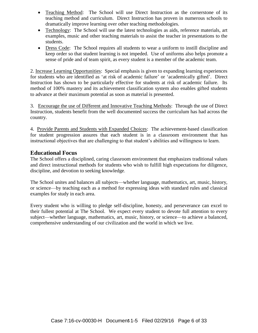- Teaching Method: The School will use Direct Instruction as the cornerstone of its teaching method and curriculum. Direct Instruction has proven in numerous schools to dramatically improve learning over other teaching methodologies.
- Technology: The School will use the latest technologies as aids, reference materials, art examples, music and other teaching materials to assist the teacher in presentations to the students.
- Dress Code: The School requires all students to wear a uniform to instill discipline and keep order so that student learning is not impeded. Use of uniforms also helps promote a sense of pride and of team spirit, as every student is a member of the academic team.

2. Increase Learning Opportunities: Special emphasis is given to expanding learning experiences for students who are identified as 'at risk of academic failure' or 'academically gifted'. Direct Instruction has shown to be particularly effective for students at risk of academic failure. Its method of 100% mastery and its achievement classification system also enables gifted students to advance at their maximum potential as soon as material is presented.

3. Encourage the use of Different and Innovative Teaching Methods: Through the use of Direct Instruction, students benefit from the well documented success the curriculum has had across the country.

4. Provide Parents and Students with Expanded Choices: The achievement-based classification for student progression assures that each student is in a classroom environment that has instructional objectives that are challenging to that student's abilities and willingness to learn.

#### **Educational Focus**

The School offers a disciplined, caring classroom environment that emphasizes traditional values and direct instructional methods for students who wish to fulfill high expectations for diligence, discipline, and devotion to seeking knowledge.

The School unites and balances all subjects—whether language, mathematics, art, music, history, or science—by teaching each as a method for expressing ideas with standard rules and classical examples for study in each area.

Every student who is willing to pledge self-discipline, honesty, and perseverance can excel to their fullest potential at The School. We expect every student to devote full attention to every subject—whether language, mathematics, art, music, history, or science—to achieve a balanced, comprehensive understanding of our civilization and the world in which we live.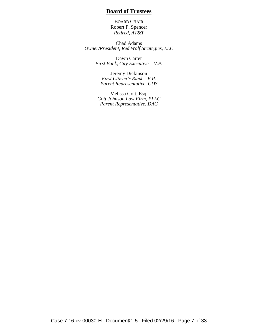#### **Board of Trustees**

BOARD CHAIR Robert P. Spencer *Retired, AT&T*

Chad Adams *Owner/President, Red Wolf Strategies, LLC*

> Dawn Carter *First Bank, City Executive – V.P.*

Jeremy Dickinson *First Citizen's Bank – V.P. Parent Representative, CDS*

Melissa Gott, Esq. *Gott Johnson Law Firm, PLLC Parent Representative, DAC*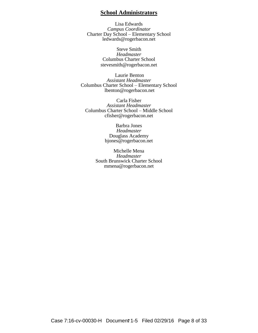#### **School Administrators**

Lisa Edwards *Campus Coordinator* Charter Day School – Elementary School ledwards@rogerbacon.net

> Steve Smith *Headmaster* Columbus Charter School stevesmith@rogerbacon.net

Laurie Benton *Assistant Headmaster* Columbus Charter School – Elementary School lbenton@rogerbacon.net

Carla Fisher *Assistant Headmaster* Columbus Charter School – Middle School cfisher@rogerbacon.net

> Barbra Jones *Headmaster* Douglass Academy bjones@rogerbacon.net

Michelle Mena *Headmaster* South Brunswick Charter School mmena@rogerbacon.net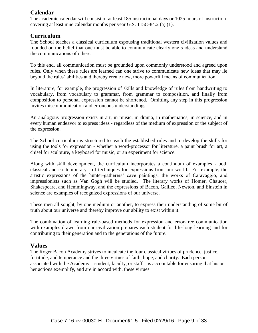#### **Calendar**

The academic calendar will consist of at least 185 instructional days or 1025 hours of instruction covering at least nine calendar months per year G.S. 115C-84.2 (a) (1).

#### **Curriculum**

The School teaches a classical curriculum espousing traditional western civilization values and founded on the belief that one must be able to communicate clearly one's ideas and understand the communications of others.

To this end, all communication must be grounded upon commonly understood and agreed upon rules. Only when these rules are learned can one strive to communicate new ideas that may lie beyond the rules' abilities and thereby create new, more powerful means of communication.

In literature, for example, the progression of skills and knowledge of rules from handwriting to vocabulary, from vocabulary to grammar, from grammar to composition, and finally from composition to personal expression cannot be shortened. Omitting any step in this progression invites miscommunication and erroneous understandings.

An analogous progression exists in art, in music, in drama, in mathematics, in science, and in every human endeavor to express ideas - regardless of the medium of expression or the subject of the expression.

The School curriculum is structured to teach the established rules and to develop the skills for using the tools for expression - whether a word-processor for literature, a paint brush for art, a chisel for sculpture, a keyboard for music, or an experiment for science.

Along with skill development, the curriculum incorporates a continuum of examples - both classical and contemporary - of techniques for expressions from our world. For example, the artistic expressions of the hunter-gatherers' cave paintings, the works of Caravaggio, and impressionists such as Van Gogh will be studied. The literary works of Homer, Chaucer, Shakespeare, and Hemmingway, and the expressions of Bacon, Galileo, Newton, and Einstein in science are examples of recognized expressions of our universe.

These men all sought, by one medium or another, to express their understanding of some bit of truth about our universe and thereby improve our ability to exist within it.

The combination of learning rule-based methods for expression and error-free communication with examples drawn from our civilization prepares each student for life-long learning and for contributing to their generation and to the generations of the future.

#### **Values**

The Roger Bacon Academy strives to inculcate the four classical virtues of prudence, justice, fortitude, and temperance and the three virtues of faith, hope, and charity. Each person associated with the Academy – student, faculty, or staff – is accountable for ensuring that his or her actions exemplify, and are in accord with, these virtues.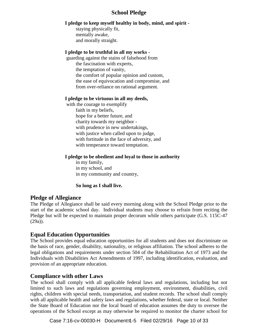#### **School Pledge**

#### **I pledge to keep myself healthy in body, mind, and spirit -**

staying physically fit, mentally awake, and morally straight.

#### **I pledge to be truthful in all my works -**

guarding against the stains of falsehood from the fascination with experts, the temptation of vanity, the comfort of popular opinion and custom, the ease of equivocation and compromise, and from over-reliance on rational argument.

#### **I pledge to be virtuous in all my deeds,**

with the courage to exemplify faith in my beliefs, hope for a better future, and charity towards my neighbor with prudence in new undertakings, with justice when called upon to judge, with fortitude in the face of adversity, and with temperance toward temptation.

#### **I pledge to be obedient and loyal to those in authority**

in my family, in my school, and in my community and country,

#### **So long as I shall live.**

#### **Pledge of Allegiance**

The Pledge of Allegiance shall be said every morning along with the School Pledge prior to the start of the academic school day. Individual students may choose to refrain from reciting the Pledge but will be expected to maintain proper decorum while others participate (G.S. 115C-47 (29a)).

#### **Equal Education Opportunities**

The School provides equal education opportunities for all students and does not discriminate on the basis of race, gender, disability, nationality, or religious affiliation. The school adheres to the legal obligations and requirements under section 504 of the Rehabilitation Act of 1973 and the Individuals with Disabilities Act Amendments of 1997, including identification, evaluation, and provision of an appropriate education.

#### **Compliance with other Laws**

The school shall comply with all applicable federal laws and regulations, including but not limited to such laws and regulations governing employment, environment, disabilities, civil rights, children with special needs, transportation, and student records. The school shall comply with all applicable health and safety laws and regulations, whether federal, state or local. Neither the State Board of Education nor the local board of education assumes the duty to oversee the operations of the School except as may otherwise be required to monitor the charter school for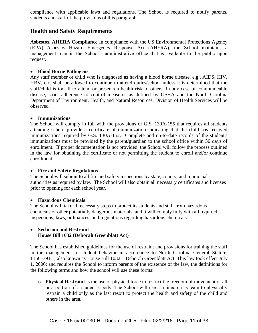compliance with applicable laws and regulations. The School is required to notify parents, students and staff of the provisions of this paragraph.

#### **Health and Safety Requirements**

**Asbestos, AHERA Compliance** In compliance with the US Environmental Protections Agency (EPA) Asbestos Hazard Emergency Response Act (AHERA), the School maintains a management plan in the School's administrative office that is available to the public upon request.

#### **Blood Borne Pathogens**

Any staff member or child who is diagnosed as having a blood borne disease, e.g., AIDS, HIV, HBV, etc. shall be allowed to continue to attend duties/school unless it is determined that the staff/child is too ill to attend or presents a health risk to others. In any case of communicable disease, strict adherence to control measures as defined by OSHA and the North Carolina Department of Environment, Health, and Natural Resources, Division of Health Services will be observed.

#### **Immunizations**

The School will comply in full with the provisions of G.S. 130A-155 that requires all students attending school provide a certificate of immunization indicating that the child has received immunizations required by G.S. 130A-152. Complete and up-to-date records of the student's immunizations must be provided by the parent/guardian to the school office within 30 days of enrollment. If proper documentation is not provided, the School will follow the process outlined in the law for obtaining the certificate or not permitting the student to enroll and/or continue enrollment.

#### **Fire and Safety Regulations**

The School will submit to all fire and safety inspections by state, county, and municipal authorities as required by law. The School will also obtain all necessary certificates and licenses prior to opening for each school year.

#### **Hazardous Chemicals**

The School will take all necessary steps to protect its students and staff from hazardous chemicals or other potentially dangerous materials, and it will comply fully with all required inspections, laws, ordinances, and regulations regarding hazardous chemicals.

#### **Seclusion and Restraint House Bill 1032 (Deborah Greenblatt Act)**

The School has established guidelines for the use of restraint and provisions for training the staff in the management of student behavior in accordance to North Carolina General Statute, 115C-391.1, also known as House Bill 1032 – Deborah Greenblatt Act. This law took effect July 1, 2006; and requires the School to inform parents of the existence of the law, the definitions for the following terms and how the school will use these forms:

o **Physical Restraint** is the use of physical force to restrict the freedom of movement of all or a portion of a student's body. The School will use a trained crisis team to physically restrain a child only as the last resort to protect the health and safety of the child and others in the area.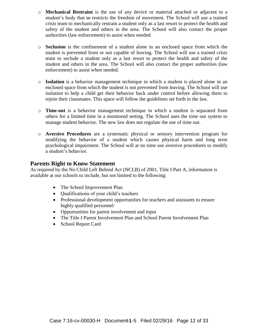- o **Mechanical Restraint** is the use of any device or material attached or adjacent to a student's body that to restricts the freedom of movement. The School will use a trained crisis team to mechanically restrain a student only as a last resort to protect the health and safety of the student and others in the area. The School will also contact the proper authorities (law enforcement) to assist when needed.
- o **Seclusion** is the confinement of a student alone in an enclosed space from which the student is prevented from or not capable of leaving. The School will use a trained crisis team to seclude a student only as a last resort to protect the health and safety of the student and others in the area. The School will also contact the proper authorities (law enforcement) to assist when needed.
- o **Isolation** is a behavior management technique in which a student is placed alone in an enclosed space from which the student is not prevented from leaving. The School will use isolation to help a child get their behavior back under control before allowing them to rejoin their classmates. This space will follow the guidelines set forth in the law.
- o **Time-out** is a behavior management technique in which a student is separated from others for a limited time in a monitored setting. The School uses the time out system to manage student behavior. The new law does not regulate the use of time out.
- o **Aversive Procedures** are a systematic physical or sensory intervention program for modifying the behavior of a student which causes physical harm and long term psychological impairment. The School will at no time use aversive procedures to modify a student's behavior.

#### **Parents Right to Know Statement**

As required by the No Child Left Behind Act (NCLB) of 2001, Title I Part A, information is available at our schools to include, but not limited to the following:

- The School Improvement Plan
- Qualifications of your child's teachers
- Professional development opportunities for teachers and assistants to ensure highly qualified personnel
- Opportunities for parent involvement and input
- The Title I Parent Involvement Plan and School Parent Involvement Plan
- School Report Card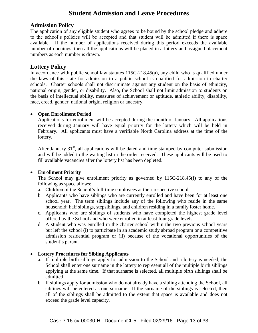#### **Student Admission and Leave Procedures**

#### **Admission Policy**

The application of any eligible student who agrees to be bound by the school pledge and adhere to the school's policies will be accepted and that student will be admitted if there is space available. If the number of applications received during this period exceeds the available number of openings, then all the applications will be placed in a lottery and assigned placement numbers as each number is drawn.

#### **Lottery Policy**

In accordance with public school law statutes 115C-218.45(a), any child who is qualified under the laws of this state for admission to a public school is qualified for admission to charter schools. Charter schools shall not discriminate against any student on the basis of ethnicity, national origin, gender, or disability. Also, the School shall not limit admission to students on the basis of intellectual ability, measures of achievement or aptitude, athletic ability, disability, race, creed, gender, national origin, religion or ancestry.

#### **Open Enrollment Period**

Applications for enrollment will be accepted during the month of January. All applications received during January will have equal priority for the lottery which will be held in February. All applicants must have a verifiable North Carolina address at the time of the lottery.

After January  $31<sup>st</sup>$ , all applications will be dated and time stamped by computer submission and will be added to the waiting list in the order received. These applicants will be used to fill available vacancies after the lottery list has been depleted.

#### **Enrollment Priority**

The School may give enrollment priority as governed by 115C-218.45(f) to any of the following as space allows:

- a. Children of the School's full-time employees at their respective school.
- b. Applicants who have siblings who are currently enrolled and have been for at least one school year. The term siblings include any of the following who reside in the same household: half siblings, stepsiblings, and children residing in a family foster home.
- c. Applicants who are siblings of students who have completed the highest grade level offered by the School and who were enrolled in at least four grade levels.
- d. A student who was enrolled in the charter school within the two previous school years but left the school (i) to participate in an academic study abroad program or a competitive admission residential program or (ii) because of the vocational opportunities of the student's parent.

#### **Lottery Procedures for Sibling Applicants**

- a. If multiple birth siblings apply for admission to the School and a lottery is needed, the School shall enter one surname in the lottery to represent all of the multiple birth siblings applying at the same time. If that surname is selected, all multiple birth siblings shall be admitted.
- b. If siblings apply for admission who do not already have a sibling attending the School, all siblings will be entered as one surname. If the surname of the siblings is selected, then all of the siblings shall be admitted to the extent that space is available and does not exceed the grade level capacity.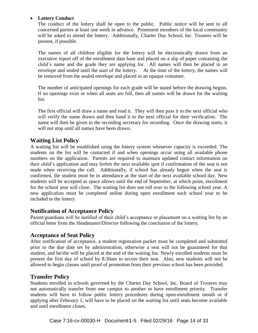#### **Lottery Conduct**

The conduct of the lottery shall be open to the public. Public notice will be sent to all concerned parties at least one week in advance. Prominent members of the local community will be asked to attend the lottery. Additionally, Charter Day School, Inc. Trustees will be present, if possible.

The names of all children eligible for the lottery will be electronically drawn from an executive report off of the enrollment data base and placed on a slip of paper containing the child's name and the grade they are applying for. All names will then be placed in an envelope and sealed until the start of the lottery. At the time of the lottery, the names will be removed from the sealed envelope and placed in an opaque container.

The number of anticipated openings for each grade will be stated before the drawing begins. If no openings exist or when all seats are full, then all names will be drawn for the waiting list.

The first official will draw a name and read it. They will then pass it to the next official who will verify the name drawn and then hand it to the next official for their verification. The name will then be given to the recording secretary for recording. Once the drawing starts, it will not stop until all names have been drawn.

#### **Waiting List Policy**

A waiting list will be established using the lottery system whenever capacity is exceeded. The students on the list will be contacted if and when openings occur using all available phone numbers on the application. Parents are required to maintain updated contact information on their child's application and may forfeit the next available spot if confirmation of the seat is not made when receiving the call. Additionally, if school has already begun when the seat is confirmed, the student must be in attendance at the start of the next available school day. New students will be accepted as space allows until the end of September, at which point, enrollment for the school year will close. The waiting list does not roll over to the following school year. A new application must be completed online during open enrollment each school year to be included in the lottery.

#### **Notification of Acceptance Policy**

Parent/guardians will be notified of their child's acceptance or placement on a waiting list by an official letter from the Headmaster/Director following the conclusion of the lottery.

#### **Acceptance of Seat Policy**

After notification of acceptance, a student registration packet must be completed and submitted prior to the due date set by administration, otherwise a seat will not be guaranteed for that student, and he/she will be placed at the end of the waiting list. Newly enrolled students must be present the first day of school by 8:30am to secure their seat. Also, new students will not be allowed to begin classes until proof of promotion from their previous school has been provided.

#### **Transfer Policy**

Students enrolled in schools governed by the Charter Day School, Inc. Board of Trustees may not automatically transfer from one campus to another or have enrollment priority. Transfer students will have to follow public lottery procedures during open-enrollment month or if applying after February 1, will have to be placed on the waiting list until seats become available and until enrollment closes.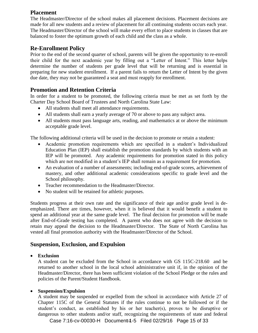#### **Placement**

The Headmaster/Director of the school makes all placement decisions. Placement decisions are made for all new students and a review of placement for all continuing students occurs each year. The Headmaster/Director of the school will make every effort to place students in classes that are balanced to foster the optimum growth of each child and the class as a whole.

#### **Re-Enrollment Policy**

Prior to the end of the second quarter of school, parents will be given the opportunity to re-enroll their child for the next academic year by filling out a "Letter of Intent." This letter helps determine the number of students per grade level that will be returning and is essential in preparing for new student enrollment. If a parent fails to return the Letter of Intent by the given due date, they may not be guaranteed a seat and must reapply for enrollment.

#### **Promotion and Retention Criteria**

In order for a student to be promoted, the following criteria must be met as set forth by the Charter Day School Board of Trustees and North Carolina State Law:

- All students shall meet all attendance requirements.
- All students shall earn a yearly average of 70 or above to pass any subject area.
- All students must pass language arts, reading, and mathematics at or above the minimum acceptable grade level.

The following additional criteria will be used in the decision to promote or retain a student:

- Academic promotion requirements which are specified in a student's Individualized Education Plan (IEP) shall establish the promotion standards by which students with an IEP will be promoted. Any academic requirements for promotion stated in this policy which are not modified in a student's IEP shall remain as a requirement for promotion.
- An evaluation of a number of assessments; including end-of-grade scores, achievement of mastery, and other additional academic considerations specific to grade level and the School philosophy.
- Teacher recommendation to the Headmaster/Director.
- No student will be retained for athletic purposes.

Students progress at their own rate and the significance of their age and/or grade level is deemphasized. There are times, however, when it is believed that it would benefit a student to spend an additional year at the same grade level. The final decision for promotion will be made after End-of-Grade testing has completed. A parent who does not agree with the decision to retain may appeal the decision to the Headmaster/Director. The State of North Carolina has vested all final promotion authority with the Headmaster/Director of the School.

#### **Suspension, Exclusion, and Expulsion**

#### **Exclusion**

A student can be excluded from the School in accordance with GS 115C-218.60 and be returned to another school in the local school administrative unit if, in the opinion of the Headmaster/Director, there has been sufficient violation of the School Pledge or the rules and policies of the Parent/Student Handbook.

#### **Suspension/Expulsion**

A student may be suspended or expelled from the school in accordance with Article 27 of Chapter 115C of the General Statutes if the rules continue to not be followed or if the student's conduct, as established by his or her teacher(s), proves to be disruptive or dangerous to other students and/or staff, recognizing the requirements of state and federal

Case 7:16-cv-00030-H Document 1-5 Filed 02/29/16 Page 15 of 33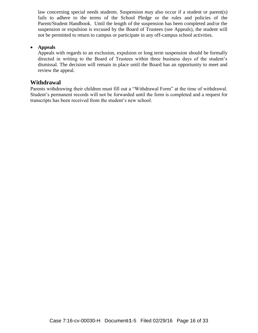law concerning special needs students. Suspension may also occur if a student or parent(s) fails to adhere to the terms of the School Pledge or the rules and policies of the Parent/Student Handbook. Until the length of the suspension has been completed and/or the suspension or expulsion is excused by the Board of Trustees (see Appeals), the student will not be permitted to return to campus or participate in any off-campus school activities.

#### **Appeals**

Appeals with regards to an exclusion, expulsion or long term suspension should be formally directed in writing to the Board of Trustees within three business days of the student's dismissal. The decision will remain in place until the Board has an opportunity to meet and review the appeal.

#### **Withdrawal**

Parents withdrawing their children must fill out a "Withdrawal Form" at the time of withdrawal. Student's permanent records will not be forwarded until the form is completed and a request for transcripts has been received from the student's new school.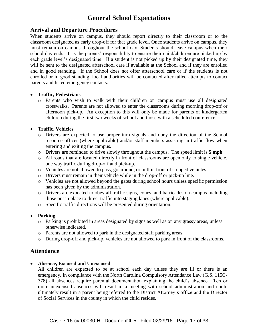#### **General School Expectations**

#### **Arrival and Departure Procedures**

When students arrive on campus, they should report directly to their classroom or to the classroom designated as early drop-off for that grade level. Once students arrive on campus, they must remain on campus throughout the school day. Students should leave campus when their school day ends. It is the parents' responsibility to ensure their child/children are picked up by each grade level's designated time. If a student is not picked up by their designated time, they will be sent to the designated afterschool care if available at the School and if they are enrolled and in good standing. If the School does not offer afterschool care or if the students is not enrolled or in good standing, local authorities will be contacted after failed attempts to contact parents and listed emergency contacts.

#### **Traffic, Pedestrians**

o Parents who wish to walk with their children on campus must use all designated crosswalks. Parents are not allowed to enter the classrooms during morning drop-off or afternoon pick-up. An exception to this will only be made for parents of kindergarten children during the first two weeks of school and those with a scheduled conference.

#### **Traffic, Vehicles**

- o Drivers are expected to use proper turn signals and obey the direction of the School resource officer (where applicable) and/or staff members assisting in traffic flow when entering and exiting the campus.
- o Drivers are reminded to drive slowly throughout the campus. The speed limit is **5 mph**.
- o All roads that are located directly in front of classrooms are open only to single vehicle, one way traffic during drop-off and pick-up.
- o Vehicles are not allowed to pass, go around, or pull in front of stopped vehicles.
- o Drivers must remain in their vehicle while in the drop-off or pick-up line.
- o Vehicles are not allowed beyond the gates during school hours unless specific permission has been given by the administration.
- o Drivers are expected to obey all traffic signs, cones, and barricades on campus including those put in place to direct traffic into staging lanes (where applicable).
- o Specific traffic directions will be presented during orientation.
- **Parking** 
	- o Parking is prohibited in areas designated by signs as well as on any grassy areas, unless otherwise indicated.
	- o Parents are not allowed to park in the designated staff parking areas.
	- o During drop-off and pick-up, vehicles are not allowed to park in front of the classrooms.

#### **Attendance**

**Absence, Excused and Unexcused**

All children are expected to be at school each day unless they are ill or there is an emergency. In compliance with the North Carolina Compulsory Attendance Law (G.S. 115C-378) all absences require parental documentation explaining the child's absence. Ten or more unexcused absences will result in a meeting with school administration and could ultimately result in a parent being referred to the District Attorney's office and the Director of Social Services in the county in which the child resides.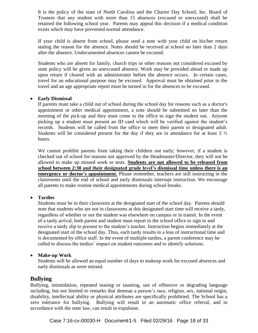It is the policy of the state of North Carolina and the Charter Day School, Inc. Board of Trustees that any student with more than 15 absences (excused or unexcused) shall be retained the following school year. Parents may appeal this decision if a medical condition exists which may have prevented normal attendance.

If your child is absent from school, please send a note with your child on his/her return stating the reason for the absence. Notes should be received at school no later than 2 days after the absence. Undocumented absences cannot be excused.

Students who are absent for family, church trips or other reasons not considered excused by state policy will be given an unexcused absence. Work may be provided ahead or made up upon return if cleared with an administrator before the absence occurs. In certain cases, travel for an educational purpose may be excused. Approval must be obtained prior to the travel and an age appropriate report must be turned in for the absences to be excused.

#### **Early Dismissal**

If parents must take a child out of school during the school day for reasons such as a doctor's appointment or other medical appointment, a note should be submitted no later than the morning of the pick-up and they must come to the office to sign the student out. Anyone picking up a student must present an ID card which will be verified against the student's records. Students will be called from the office to meet their parent or designated adult. Students will be considered present for the day if they are in attendance for at least  $3 \frac{1}{2}$ hours.

We cannot prohibit parents from taking their children out early; however, if a student is checked out of school for reasons not approved by the Headmaster/Director, they will not be allowed to make up missed work or tests. **Students are not allowed to be released from school between 2:30 and their designated grade level's dismissal time unless there is an emergency or doctor's appointment.** Please remember, teachers are still instructing in the classrooms until the end of school and early dismissals interrupt instruction. We encourage all parents to make routine medical appointments during school breaks.

#### **Tardies**

Students must be in their classroom at the designated start of the school day. Parents should note that students who are not in classrooms at this designated start time will receive a tardy, regardless of whether or not the student was elsewhere on campus or in transit. In the event of a tardy arrival, both parent and student must report to the school office to sign in and receive a tardy slip to present to the student's teacher. Instruction begins immediately at the designated start of the school day. Thus, each tardy results in a loss of instructional time and is documented by office staff. In the event of multiple tardies, a parent conference may be called to discuss the tardies' impact on student outcomes and to identify solutions.

#### **Make-up Work**

Students will be allowed an equal number of days to makeup work for excused absences and early dismissals as were missed.

#### **Bullying**

Bullying, intimidation, repeated teasing or taunting, use of offensive or degrading language including, but not limited to remarks that demean a person's race, religion, sex, national origin, disability, intellectual ability or physical attributes are specifically prohibited. The School has a zero tolerance for bullying. Bullying will result in an automatic office referral, and in accordance with the state law, can result in expulsion.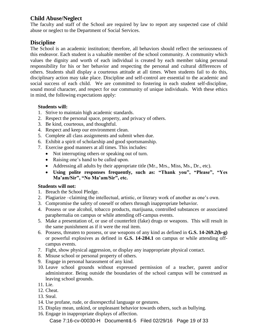#### **Child Abuse/Neglect**

The faculty and staff of the School are required by law to report any suspected case of child abuse or neglect to the Department of Social Services.

#### **Discipline**

The School is an academic institution; therefore, all behaviors should reflect the seriousness of this endeavor. Each student is a valuable member of the school community. A community which values the dignity and worth of each individual is created by each member taking personal responsibility for his or her behavior and respecting the personal and cultural differences of others. Students shall display a courteous attitude at all times. When students fail to do this, disciplinary action may take place. Discipline and self-control are essential to the academic and social success of each child. We are committed to fostering in each student self-discipline, sound moral character, and respect for our community of unique individuals. With these ethics in mind, the following expectations apply:

#### **Students will:**

- 1. Strive to maintain high academic standards.
- 2. Respect the personal space, property, and privacy of others.
- 3. Be kind, courteous, and thoughtful.
- 4. Respect and keep our environment clean.
- 5. Complete all class assignments and submit when due.
- 6. Exhibit a spirit of scholarship and good sportsmanship.
- 7. Exercise good manners at all times. This includes:
	- Not interrupting others or speaking out of turn.
	- Raising one's hand to be called upon.
	- Addressing all adults by their appropriate title (Mr., Mrs., Miss, Ms., Dr., etc).
	- **Using polite responses frequently, such as: "Thank you", "Please", "Yes Ma'am/Sir", "No Ma'am/Sir", etc.**

#### **Students will not:**

- 1. Breach the School Pledge.
- 2. Plagiarize –claiming the intellectual, artistic, or literary work of another as one's own.
- 3. Compromise the safety of oneself or others through inappropriate behavior.
- 4. Possess or use alcohol, tobacco products, marijuana, controlled substances or associated paraphernalia on campus or while attending off-campus events.
- 5. Make a presentation of, or use of counterfeit (fake) drugs or weapons. This will result in the same punishment as if it were the real item.
- 6. Possess, threaten to possess, or use weapons of any kind as defined in **G.S. 14-269.2(b-g)** or powerful explosives as defined in **G.S. 14-284.1** on campus or while attending offcampus events.
- 7. Fight, show physical aggression, or display any inappropriate physical contact.
- 8. Misuse school or personal property of others.
- 9. Engage in personal harassment of any kind.
- 10. Leave school grounds without expressed permission of a teacher, parent and/or administrator. Being outside the boundaries of the school campus will be construed as leaving school grounds.
- 11. Lie.
- 12. Cheat.
- 13. Steal.
- 14. Use profane, rude, or disrespectful language or gestures.
- 15. Display mean, unkind, or unpleasant behavior towards others, such as bullying.
- 16. Engage in inappropriate displays of affection.

Case 7:16-cv-00030-H Document 14-5 Filed 02/29/16 Page 19 of 33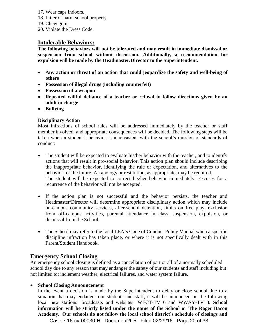- 17. Wear caps indoors.
- 18. Litter or harm school property.
- 19. Chew gum.
- 20. Violate the Dress Code.

#### **Intolerable Behaviors:**

**The following behaviors will not be tolerated and may result in immediate dismissal or suspension from school without discussion. Additionally, a recommendation for expulsion will be made by the Headmaster/Director to the Superintendent.** 

- **Any action or threat of an action that could jeopardize the safety and well-being of others**
- **Possession of illegal drugs (including counterfeit)**
- **Possession of a weapon**
- **Repeated willful defiance of a teacher or refusal to follow directions given by an adult in charge**
- **Bullying**

#### **Disciplinary Action**

Most infractions of school rules will be addressed immediately by the teacher or staff member involved, and appropriate consequences will be decided. The following steps will be taken when a student's behavior is inconsistent with the school's mission or standards of conduct:

- The student will be expected to evaluate his/her behavior with the teacher, and to identify actions that will result in pro-social behavior. This action plan should include describing the inappropriate behavior, identifying the rule or expectation, and alternatives to the behavior for the future. An apology or restitution, as appropriate, may be required. The student will be expected to correct his/her behavior immediately. Excuses for a recurrence of the behavior will not be accepted.
- If the action plan is not successful and the behavior persists, the teacher and Headmaster/Director will determine appropriate disciplinary action which may include on-campus community services, after-school detention, limits on free play, exclusion from off-campus activities, parental attendance in class, suspension, expulsion, or dismissal from the School.
- The School may refer to the local LEA's Code of Conduct Policy Manual when a specific discipline infraction has taken place, or where it is not specifically dealt with in this Parent/Student Handbook.

#### **Emergency School Closing**

An emergency school closing is defined as a cancellation of part or all of a normally scheduled school day due to any reason that may endanger the safety of our students and staff including but not limited to: inclement weather, electrical failures, and water system failure.

#### **School Closing Announcement**

In the event a decision is made by the Superintendent to delay or close school due to a situation that may endanger our students and staff, it will be announced on the following local new stations' broadcasts and websites: WECT-TV 6 and WWAY-TV 3. **School information will be strictly listed under the name of the School or The Roger Bacon Academy. Our schools do not follow the local school district's schedule of closings and** 

Case 7:16-cv-00030-H Document 1-5 Filed 02/29/16 Page 20 of 33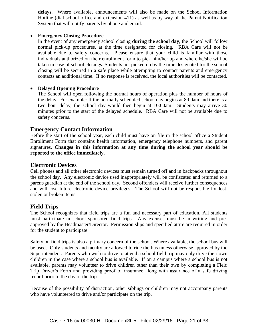**delays.** Where available, announcements will also be made on the School Information Hotline (dial school office and extension 411) as well as by way of the Parent Notification System that will notify parents by phone and email.

#### **Emergency Closing Procedure**

In the event of any emergency school closing **during the school day**, the School will follow normal pick-up procedures, at the time designated for closing. RBA Care will not be available due to safety concerns. Please ensure that your child is familiar with those individuals authorized on their enrollment form to pick him/her up and where he/she will be taken in case of school closings. Students not picked up by the time designated for the school closing will be secured in a safe place while attempting to contact parents and emergency contacts an additional time. If no response is received, the local authorities will be contacted.

#### **Delayed Opening Procedure**

The School will open following the normal hours of operation plus the number of hours of the delay. For example: If the normally scheduled school day begins at 8:00am and there is a two hour delay, the school day would then begin at 10:00am. Students may arrive 30 minutes prior to the start of the delayed schedule. RBA Care will not be available due to safety concerns.

#### **Emergency Contact Information**

Before the start of the school year, each child must have on file in the school office a Student Enrollment Form that contains health information, emergency telephone numbers, and parent signatures. **Changes in this information at any time during the school year should be reported to the office immediately.**

#### **Electronic Devices**

Cell phones and all other electronic devices must remain turned off and in backpacks throughout the school day. Any electronic device used inappropriately will be confiscated and returned to a parent/guardian at the end of the school day. Second offenders will receive further consequences and will lose future electronic device privileges. The School will not be responsible for lost, stolen or broken items.

#### **Field Trips**

The School recognizes that field trips are a fun and necessary part of education. All students must participate in school sponsored field trips. Any excuses must be in writing and preapproved by the Headmaster/Director. Permission slips and specified attire are required in order for the student to participate.

Safety on field trips is also a primary concern of the school. Where available, the school bus will be used. Only students and faculty are allowed to ride the bus unless otherwise approved by the Superintendent. Parents who wish to drive to attend a school field trip may only drive their own children in the case where a school bus is available. If on a campus where a school bus is not available, parents may volunteer to drive children other than their own by completing a Field Trip Driver's Form and providing proof of insurance along with assurance of a safe driving record prior to the day of the trip.

Because of the possibility of distraction, other siblings or children may not accompany parents who have volunteered to drive and/or participate on the trip.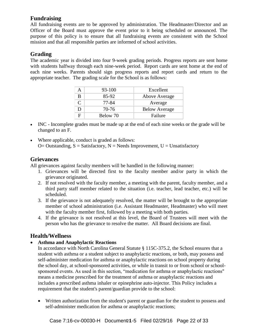#### **Fundraising**

All fundraising events are to be approved by administration. The Headmaster/Director and an Officer of the Board must approve the event prior to it being scheduled or announced. The purpose of this policy is to ensure that all fundraising events are consistent with the School mission and that all responsible parties are informed of school activities.

#### **Grading**

The academic year is divided into four 9-week grading periods. Progress reports are sent home with students halfway through each nine-week period. Report cards are sent home at the end of each nine weeks. Parents should sign progress reports and report cards and return to the appropriate teacher. The grading scale for the School is as follows:

|   | 93-100   | Excellent            |
|---|----------|----------------------|
| В | 85-92    | Above Average        |
|   | 77-84    | Average              |
|   | 70-76    | <b>Below Average</b> |
|   | Below 70 | Failure              |

- INC Incomplete grades must be made up at the end of each nine weeks or the grade will be changed to an F.
- Where applicable, conduct is graded as follows:  $O=$  Outstanding,  $S =$  Satisfactory,  $N =$  Needs Improvement,  $U =$  Unsatisfactory

#### **Grievances**

All grievances against faculty members will be handled in the following manner:

- 1. Grievances will be directed first to the faculty member and/or party in which the grievance originated.
- 2. If not resolved with the faculty member, a meeting with the parent, faculty member, and a third party staff member related to the situation (i.e. teacher, lead teacher, etc.) will be scheduled.
- 3. If the grievance is not adequately resolved, the matter will be brought to the appropriate member of school administration (i.e. Assistant Headmaster, Headmaster) who will meet with the faculty member first, followed by a meeting with both parties.
- 4. If the grievance is not resolved at this level, the Board of Trustees will meet with the person who has the grievance to resolve the matter. All Board decisions are final.

#### **Health/Wellness**

#### **Asthma and Anaphylactic Reactions**

In accordance with North Carolina General Statute § 115C-375.2, the School ensures that a student with asthma or a student subject to anaphylactic reactions, or both, may possess and self-administer medication for asthma or anaphylactic reactions on school property during the school day, at school-sponsored activities, or while in transit to or from school or schoolsponsored events. As used in this section, "medication for asthma or anaphylactic reactions" means a medicine prescribed for the treatment of asthma or anaphylactic reactions and includes a prescribed asthma inhaler or epinephrine auto-injector. This Policy includes a requirement that the student's parent/guardian provide to the school:

 Written authorization from the student's parent or guardian for the student to possess and self-administer medication for asthma or anaphylactic reactions;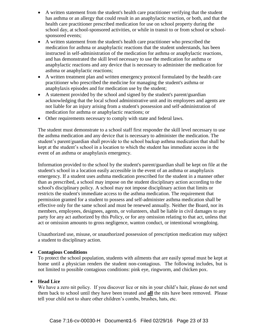- A written statement from the student's health care practitioner verifying that the student has asthma or an allergy that could result in an anaphylactic reaction, or both, and that the health care practitioner prescribed medication for use on school property during the school day, at school-sponsored activities, or while in transit to or from school or schoolsponsored events;
- A written statement from the student's health care practitioner who prescribed the medication for asthma or anaphylactic reactions that the student understands, has been instructed in self-administration of the medication for asthma or anaphylactic reactions, and has demonstrated the skill level necessary to use the medication for asthma or anaphylactic reactions and any device that is necessary to administer the medication for asthma or anaphylactic reactions;
- A written treatment plan and written emergency protocol formulated by the health care practitioner who prescribed the medicine for managing the student's asthma or anaphylaxis episodes and for medication use by the student;
- A statement provided by the school and signed by the student's parent/guardian acknowledging that the local school administrative unit and its employees and agents are not liable for an injury arising from a student's possession and self-administration of medication for asthma or anaphylactic reactions; or
- Other requirements necessary to comply with state and federal laws.

The student must demonstrate to a school staff first responder the skill level necessary to use the asthma medication and any device that is necessary to administer the medication. The student's parent/guardian shall provide to the school backup asthma medication that shall be kept at the student's school in a location to which the student has immediate access in the event of an asthma or anaphylaxis emergency.

Information provided to the school by the student's parent/guardian shall be kept on file at the student's school in a location easily accessible in the event of an asthma or anaphylaxis emergency. If a student uses asthma medication prescribed for the student in a manner other than as prescribed, a school may impose on the student disciplinary action according to the school's disciplinary policy. A school may not impose disciplinary action that limits or restricts the student's immediate access to the asthma medication. The requirement that permission granted for a student to possess and self-administer asthma medication shall be effective only for the same school and must be renewed annually. Neither the Board, nor its members, employees, designees, agents, or volunteers, shall be liable in civil damages to any party for any act authorized by this Policy, or for any omission relating to that act, unless that act or omission amounts to gross negligence, wanton conduct, or intentional wrongdoing.

Unauthorized use, misuse, or unauthorized possession of prescription medication may subject a student to disciplinary action.

#### **Contagious Conditions**

To protect the school population, students with ailments that are easily spread must be kept at home until a physician renders the student non-contagious. The following includes, but is not limited to possible contagious conditions: pink eye, ringworm, and chicken pox.

#### **Head Lice**

We have a zero nit policy. If you discover lice or nits in your child's hair, please do not send them back to school until they have been treated and **all** the nits have been removed. Please tell your child not to share other children's combs, brushes, hats, etc.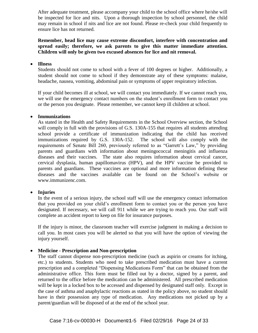After adequate treatment, please accompany your child to the school office where he/she will be inspected for lice and nits. Upon a thorough inspection by school personnel, the child may remain in school if nits and lice are not found. Please re-check your child frequently to ensure lice has not returned.

**Remember, head lice may cause extreme discomfort, interfere with concentration and spread easily; therefore, we ask parents to give this matter immediate attention. Children will only be given two excused absences for lice and nit removal.** 

#### **Illness**

Students should not come to school with a fever of 100 degrees or higher. Additionally, a student should not come to school if they demonstrate any of these symptoms: malaise, headache, nausea, vomiting, abdominal pain or symptoms of upper respiratory infection.

If your child becomes ill at school, we will contact you immediately. If we cannot reach you, we will use the emergency contact numbers on the student's enrollment form to contact you or the person you designate. Please remember, we cannot keep ill children at school.

#### **Immunizations**

As stated in the Health and Safety Requirements in the School Overview section, the School will comply in full with the provisions of G.S. 130A-155 that requires all students attending school provide a certificate of immunization indicating that the child has received immunizations required by G.S. 130A-152. The school will also comply with the requirements of Senate Bill 260, previously referred to as "Garrett's Law," by providing parents and guardians with information about meningococcal meningitis and influenza diseases and their vaccines. The state also requires information about cervical cancer, cervical dysplasia, human papillomavirus (HPV), and the HPV vaccine be provided to parents and guardians. These vaccines are optional and more information defining these diseases and the vaccines available can be found on the School's website or www.immunizenc.com.

#### **Injuries**

In the event of a serious injury, the school staff will use the emergency contact information that you provided on your child's enrollment form to contact you or the person you have designated. If necessary, we will call 911 while we are trying to reach you. Our staff will complete an accident report to keep on file for insurance purposes.

If the injury is minor, the classroom teacher will exercise judgment in making a decision to call you. In most cases you will be alerted so that you will have the option of viewing the injury yourself.

#### **Medicine - Prescription and Non-prescription**

The staff cannot dispense non-prescription medicine (such as aspirin or creams for itching, etc.) to students. Students who need to take prescribed medication must have a current prescription and a completed "Dispensing Medications Form" that can be obtained from the administrative office. This form must be filled out by a doctor, signed by a parent, and returned to the office before the medication can be administered. All prescribed medication will be kept in a locked box to be accessed and dispensed by designated staff only. Except in the case of asthma and anaphylactic reactions as stated in the policy above, no student should have in their possession any type of medication. Any medications not picked up by a parent/guardian will be disposed of at the end of the school year.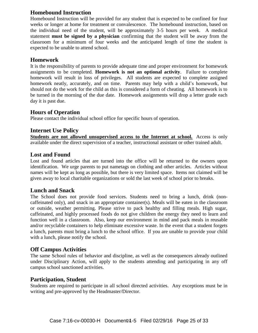#### **Homebound Instruction**

Homebound Instruction will be provided for any student that is expected to be confined for four weeks or longer at home for treatment or convalescence. The homebound instruction, based on the individual need of the student, will be approximately 3-5 hours per week. A medical statement **must be signed by a physician** confirming that the student will be away from the classroom for a minimum of four weeks and the anticipated length of time the student is expected to be unable to attend school.

#### **Homework**

It is the responsibility of parents to provide adequate time and proper environment for homework assignments to be completed. **Homework is not an optional activity**. Failure to complete homework will result in loss of privileges. All students are expected to complete assigned homework neatly, accurately, and on time. Parents may help with a child's homework, but should not do the work for the child as this is considered a form of cheating. All homework is to be turned in the morning of the due date. Homework assignments will drop a letter grade each day it is past due.

#### **Hours of Operation**

Please contact the individual school office for specific hours of operation.

#### **Internet Use Policy**

**Students are not allowed unsupervised access to the Internet at school.** Access is only available under the direct supervision of a teacher, instructional assistant or other trained adult.

#### **Lost and Found**

Lost and found articles that are turned into the office will be returned to the owners upon identification. We urge parents to put nametags on clothing and other articles. Articles without names will be kept as long as possible, but there is very limited space. Items not claimed will be given away to local charitable organizations or sold the last week of school prior to breaks.

#### **Lunch and Snack**

The School does not provide food services. Students need to bring a lunch, drink (noncaffeinated only), and snack in an appropriate container(s). Meals will be eaten in the classroom or outside, weather permitting. Please strive to pack healthy and filling meals. High sugar, caffeinated, and highly processed foods do not give children the energy they need to learn and function well in a classroom. Also, keep our environment in mind and pack meals in reusable and/or recyclable containers to help eliminate excessive waste. In the event that a student forgets a lunch, parents must bring a lunch to the school office. If you are unable to provide your child with a lunch, please notify the school.

#### **Off Campus Activities**

The same School rules of behavior and discipline, as well as the consequences already outlined under Disciplinary Action, will apply to the students attending and participating in any off campus school sanctioned activities.

#### **Participation, Student**

Students are required to participate in all school directed activities. Any exceptions must be in writing and pre-approved by the Headmaster/Director.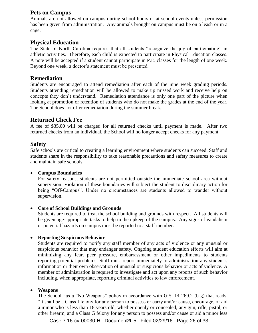#### **Pets on Campus**

Animals are not allowed on campus during school hours or at school events unless permission has been given from administration. Any animals brought on campus must be on a leash or in a cage.

#### **Physical Education**

The State of North Carolina requires that all students "recognize the joy of participating" in athletic activities. Therefore, each child is expected to participate in Physical Education classes. A note will be accepted if a student cannot participate in P.E. classes for the length of one week. Beyond one week, a doctor's statement must be presented.

#### **Remediation**

Students are encouraged to attend remediation after each of the nine week grading periods. Students attending remediation will be allowed to make up missed work and receive help on concepts they don't understand. Remediation attendance is only one part of the picture when looking at promotion or retention of students who do not make the grades at the end of the year. The School does not offer remediation during the summer break.

#### **Returned Check Fee**

A fee of \$35.00 will be charged for all returned checks until payment is made. After two returned checks from an individual, the School will no longer accept checks for any payment.

#### **Safety**

Safe schools are critical to creating a learning environment where students can succeed. Staff and students share in the responsibility to take reasonable precautions and safety measures to create and maintain safe schools.

#### **Campus Boundaries**

For safety reasons, students are not permitted outside the immediate school area without supervision. Violation of these boundaries will subject the student to disciplinary action for being "Off-Campus". Under no circumstances are students allowed to wander without supervision.

#### **Care of School Buildings and Grounds**

Students are required to treat the school building and grounds with respect. All students will be given age-appropriate tasks to help in the upkeep of the campus. Any signs of vandalism or potential hazards on campus must be reported to a staff member.

#### **Reporting Suspicious Behavior**

Students are required to notify any staff member of any acts of violence or any unusual or suspicious behavior that may endanger safety. Ongoing student education efforts will aim at minimizing any fear, peer pressure, embarrassment or other impediments to students reporting potential problems. Staff must report immediately to administration any student's information or their own observation of unusual or suspicious behavior or acts of violence. A member of administration is required to investigate and act upon any reports of such behavior including, when appropriate, reporting criminal activities to law enforcement.

#### **Weapons**

The School has a "No Weapons" policy in accordance with G.S. 14-269.2 (b-g) that reads, "It shall be a Class I felony for any person to possess or carry and/or cause, encourage, or aid a minor who is less than 18 years old, whether openly or concealed, any gun, rifle, pistol, or other firearm, and a Class G felony for any person to possess and/or cause or aid a minor less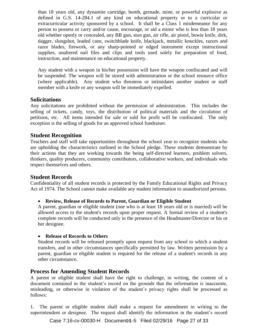than 18 years old, any dynamite cartridge, bomb, grenade, mine, or powerful explosive as defined in G.S. 14-284.1 of any kind on educational property or to a curricular or extracurricular activity sponsored by a school. It shall be a Class 1 misdemeanor for any person to possess or carry and/or cause, encourage, or aid a minor who is less than 18 years old whether openly or concealed, any BB gun, stun gun, air rifle, air pistol, bowie knife, dirk, dagger, slungshot, leaded cane, switchblade knife, blackjack, metallic knuckles, razors and razor blades, firework, or any sharp-pointed or edged instrument except instructional supplies, unaltered nail files and clips and tools used solely for preparation of food, instruction, and maintenance on educational property.

Any student with a weapon in his/her possession will have the weapon confiscated and will be suspended. The weapon will be stored with administration or the school resource office (where applicable). Any student who threatens or intimidates another student or staff member with a knife or any weapon will be immediately expelled.

#### **Solicitations**

Any solicitations are prohibited without the permission of administration. This includes the selling of tickets, candy, toys, the distribution of political materials and the circulation of petitions, etc. All items intended for sale or sold for profit will be confiscated. The only exception is the selling of goods for an approved school fundraiser.

#### **Student Recognition**

Teachers and staff will take opportunities throughout the school year to recognize students who are upholding the characteristics outlined in the School pledge. These students demonstrate by their actions that they are working towards the being self-directed learners, problem solvers, thinkers, quality producers, community contributors, collaborative workers, and individuals who respect themselves and others.

#### **Student Records**

Confidentiality of all student records is protected by the Family Educational Rights and Privacy Act of 1974. The School cannot make available any student information to unauthorized persons.

#### **Review, Release of Records to Parent, Guardian or Eligible Student**

A parent, guardian or eligible student (one who is at least 18 years old or is married) will be allowed access to the student's records upon proper request. A formal review of a student's complete records will be conducted only in the presence of the Headmaster/Director or his or her designee.

#### **Release of Records to Others**

Student records will be released promptly upon request from any school to which a student transfers, and in other circumstances specifically permitted by law. Written permission by a parent, guardian or eligible student is required for the release of a student's records in any other circumstance.

#### **Process for Amending Student Records**

A parent or eligible student shall have the right to challenge, in writing, the content of a document contained in the student's record on the grounds that the information is inaccurate, misleading, or otherwise in violation of the student's privacy rights shall be processed as follows:

1. The parent or eligible student shall make a request for amendment in writing to the superintendent or designee. The request shall identify the information in the student's record

Case 7:16-cv-00030-H Document 4-5 Filed 02/29/16 Page 27 of 33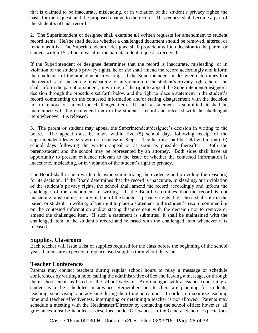that is claimed to be inaccurate, misleading, or in violation of the student's privacy rights; the basis for the request, and the proposed change to the record. This request shall become a part of the student's official record.

2. The Superintendent or designee shall examine all written requests for amendment to student record items. He/she shall decide whether a challenged document should be removed, altered, or remain as it is. The Superintendent or designee shall provide a written decision to the parent or student within 15 school days after the parent/student request is received.

If the Superintendent or designee determines that the record is inaccurate, misleading, or in violation of the student's privacy rights, he or she shall amend the record accordingly and inform the challenger of the amendment in writing. If the Superintendent or designee determines that the record is not inaccurate, misleading, or in violation of the student's privacy rights, he or she shall inform the parent or student, in writing, of the right to appeal the Superintendent/designee's decision through the procedure set forth below and the right to place a statement in the student's record commenting on the contested information and/or stating disagreement with the decision not to remove or amend the challenged item. If such a statement is submitted, it shall be maintained with the challenged item in the student's record and released with the challenged item whenever it is released.

3. The parent or student may appeal the Superintendent/designee's decision in writing to the board. The appeal must be made within five (5) school days following receipt of the superintendent/designee's written response in Step I. The hearing shall be held within ten (10) school days following the written appeal or as soon as possible thereafter. Both the parent/student and the school may be represented by an attorney. Both sides shall have an opportunity to present evidence relevant to the issue of whether the contested information is inaccurate, misleading, or in violation of the student's right to privacy.

The Board shall issue a written decision summarizing the evidence and providing the reason(s) for its decision. If the Board determines that the record is inaccurate, misleading, or in violation of the student's privacy rights, the school shall amend the record accordingly and inform the challenger of the amendment in writing. If the Board determines that the record is not inaccurate, misleading, or in violation of the student's privacy rights, the school shall inform the parent or student, in writing, of the right to place a statement in the student's record commenting on the contested information and/or stating disagreement with the decision not to remove or amend the challenged item. If such a statement is submitted, it shall be maintained with the challenged item in the student's record and released with the challenged item whenever it is released.

#### **Supplies, Classroom**

Each teacher will issue a list of supplies required for the class before the beginning of the school year. Parents are expected to replace used supplies throughout the year.

#### **Teacher Conferences**

Parents may contact teachers during regular school hours to relay a message or schedule conferences by writing a note, calling the administrative office and leaving a message, or through their school email as listed on the school website. Any dialogue with a teacher concerning a student is to be scheduled in advance. Remember, our teachers are planning for students, teaching, supervising, and advising during their time on campus. In order to maximize teaching time and teacher effectiveness, interrupting or detaining a teacher is not allowed. Parents may schedule a meeting with the Headmaster/Director by contacting the school office; however, all grievances must be handled as described under Grievances in the General School Expectations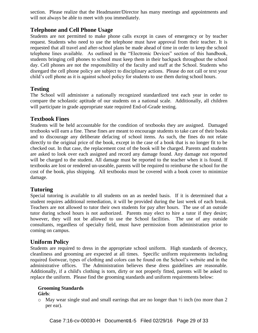section. Please realize that the Headmaster/Director has many meetings and appointments and will not always be able to meet with you immediately.

#### **Telephone and Cell Phone Usage**

Students are not permitted to make phone calls except in cases of emergency or by teacher request. Students who need to use the telephone must have approval from their teacher. It is requested that all travel and after-school plans be made ahead of time in order to keep the school telephone lines available. As outlined in the "Electronic Devices" section of this handbook, students bringing cell phones to school must keep them in their backpack throughout the school day. Cell phones are not the responsibility of the faculty and staff at the School. Students who disregard the cell phone policy are subject to disciplinary actions. Please do not call or text your child's cell phone as it is against school policy for students to use them during school hours.

#### **Testing**

The School will administer a nationally recognized standardized test each year in order to compare the scholastic aptitude of our students on a national scale. Additionally, all children will participate in grade appropriate state required End-of-Grade testing.

#### **Textbook Fines**

Students will be held accountable for the condition of textbooks they are assigned. Damaged textbooks will earn a fine. These fines are meant to encourage students to take care of their books and to discourage any deliberate defacing of school items. As such, the fines do not relate directly to the original price of the book, except in the case of a book that is no longer fit to be checked out. In that case, the replacement cost of the book will be charged. Parents and students are asked to look over each assigned and record any damage found. Any damage not reported will be charged to the student. All damage must be reported to the teacher when it is found. If textbooks are lost or rendered un-useable, parents will be required to reimburse the school for the cost of the book, plus shipping. All textbooks must be covered with a book cover to minimize damage.

#### **Tutoring**

Special tutoring is available to all students on an as needed basis. If it is determined that a student requires additional remediation, it will be provided during the last week of each break. Teachers are not allowed to tutor their own students for pay after hours. The use of an outside tutor during school hours is not authorized. Parents may elect to hire a tutor if they desire; however, they will not be allowed to use the School facilities. The use of any outside consultants, regardless of specialty field, must have permission from administration prior to coming on campus.

#### **Uniform Policy**

Students are required to dress in the appropriate school uniform. High standards of decency, cleanliness and grooming are expected at all times. Specific uniform requirements including required footwear, types of clothing and colors can be found on the School's website and in the administrative offices. The Administration believes these dress guidelines are reasonable. Additionally, if a child's clothing is torn, dirty or not properly fitted, parents will be asked to replace the uniform. Please find the grooming standards and uniform requirements below:

#### **Grooming Standards**

#### **Girls**:

 $\circ$  May wear single stud and small earrings that are no longer than  $\frac{1}{2}$  inch (no more than 2) per ear).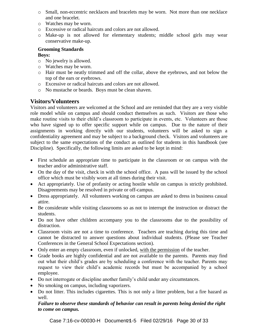- o Small, non-eccentric necklaces and bracelets may be worn. Not more than one necklace and one bracelet.
- o Watches may be worn.
- o Excessive or radical haircuts and colors are not allowed.
- o Make-up is not allowed for elementary students; middle school girls may wear conservative make-up.

#### **Grooming Standards**

#### **Boys:**

- o No jewelry is allowed.
- o Watches may be worn.
- o Hair must be neatly trimmed and off the collar, above the eyebrows, and not below the top of the ears or eyebrows.
- o Excessive or radical haircuts and colors are not allowed.
- o No mustache or beards. Boys must be clean shaven.

#### **Visitors/Volunteers**

Visitors and volunteers are welcomed at the School and are reminded that they are a very visible role model while on campus and should conduct themselves as such. Visitors are those who make routine visits to their child's classroom to participate in events, etc. Volunteers are those who have signed up to offer specific support while on campus. Due to the nature of their assignments in working directly with our students, volunteers will be asked to sign a confidentiality agreement and may be subject to a background check. Visitors and volunteers are subject to the same expectations of the conduct as outlined for students in this handbook (see Discipline). Specifically, the following limits are asked to be kept in mind:

- First schedule an appropriate time to participate in the classroom or on campus with the teacher and/or administrative staff.
- On the day of the visit, check in with the school office. A pass will be issued by the school office which must be visibly worn at all times during their visit.
- Act appropriately. Use of profanity or acting hostile while on campus is strictly prohibited. Disagreements may be resolved in private or off-campus.
- Dress appropriately. All volunteers working on campus are asked to dress in business casual attire.
- Be considerate while visiting classrooms so as not to interrupt the instruction or distract the students.
- Do not have other children accompany you to the classrooms due to the possibility of distraction.
- Classroom visits are not a time to conference. Teachers are teaching during this time and cannot be distracted to answer questions about individual students. (Please see Teacher Conferences in the General School Expectations section).
- Only enter an empty classroom, even if unlocked, with the permission of the teacher.
- Grade books are highly confidential and are not available to the parents. Parents may find out what their child's grades are by scheduling a conference with the teacher. Parents may request to view their child's academic records but must be accompanied by a school employee.
- Do not interrogate or discipline another family's child under any circumstances.
- No smoking on campus, including vaporizers.
- Do not litter. This includes cigarettes. This is not only a litter problem, but a fire hazard as well.

#### *Failure to observe these standards of behavior can result in parents being denied the right to come on campus.*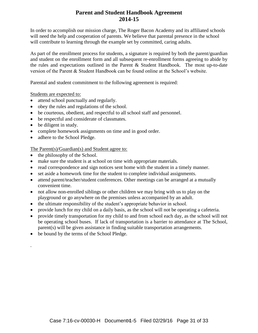#### **Parent and Student Handbook Agreement 2014-15**

In order to accomplish our mission charge, The Roger Bacon Academy and its affiliated schools will need the help and cooperation of parents. We believe that parental presence in the school will contribute to learning through the example set by committed, caring adults.

As part of the enrollment process for students, a signature is required by both the parent/guardian and student on the enrollment form and all subsequent re-enrollment forms agreeing to abide by the rules and expectations outlined in the Parent & Student Handbook. The most up-to-date version of the Parent & Student Handbook can be found online at the School's website.

Parental and student commitment to the following agreement is required:

Students are expected to:

- attend school punctually and regularly.
- obey the rules and regulations of the school.
- be courteous, obedient, and respectful to all school staff and personnel.
- be respectful and considerate of classmates.
- be diligent in study.

.

- complete homework assignments on time and in good order.
- adhere to the School Pledge.

The Parent(s)/Guardian(s) and Student agree to:

- the philosophy of the School.
- make sure the student is at school on time with appropriate materials.
- read correspondence and sign notices sent home with the student in a timely manner.
- set aside a homework time for the student to complete individual assignments.
- attend parent/teacher/student conferences. Other meetings can be arranged at a mutually convenient time.
- not allow non-enrolled siblings or other children we may bring with us to play on the playground or go anywhere on the premises unless accompanied by an adult.
- the ultimate responsibility of the student's appropriate behavior in school.
- provide lunch for my child on a daily basis, as the school will not be operating a cafeteria.
- provide timely transportation for my child to and from school each day, as the school will not be operating school buses. If lack of transportation is a barrier to attendance at The School, parent(s) will be given assistance in finding suitable transportation arrangements.
- be bound by the terms of the School Pledge.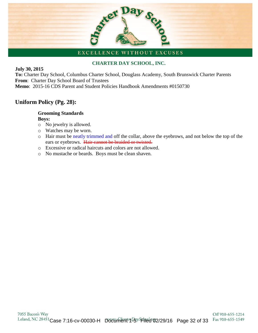# Day Sex

#### EXCELLENCE WITHOUT EXCUSES

#### **CHARTER DAY SCHOOL, INC.**

#### **July 30, 2015**

**To:** Charter Day School, Columbus Charter School, Douglass Academy, South Brunswick Charter Parents **From**: Charter Day School Board of Trustees **Memo**:2015-16 CDS Parent and Student Policies Handbook Amendments #0150730

#### **Uniform Policy (Pg. 28):**

#### **Grooming Standards Boys:**

- o No jewelry is allowed.
- o Watches may be worn.
- o Hair must be neatly trimmed and off the collar, above the eyebrows, and not below the top of the ears or eyebrows. Hair cannot be braided or twisted.
- o Excessive or radical haircuts and colors are not allowed.
- o No mustache or beards. Boys must be clean shaven.